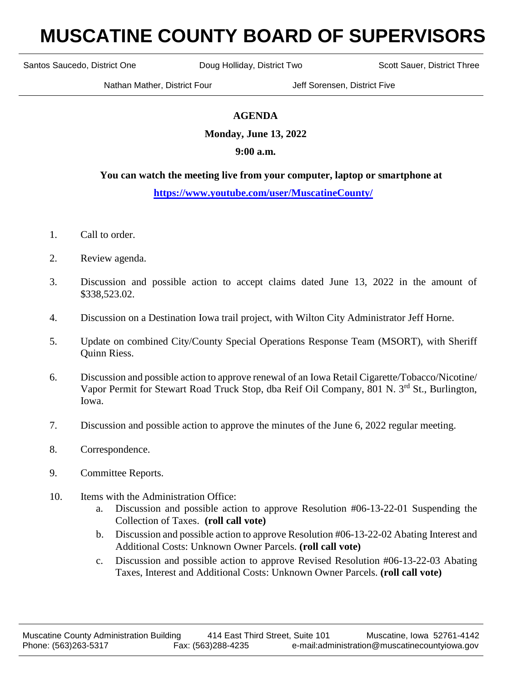# **MUSCATINE COUNTY BOARD OF SUPERVISORS**

Santos Saucedo, District One **Doug Holliday, District Two** Scott Sauer, District Three

Nathan Mather, District Four **Jeff Sorensen, District Five** 

## **AGENDA**

**Monday, June 13, 2022**

### **9:00 a.m.**

#### **You can watch the meeting live from your computer, laptop or smartphone at**

#### **<https://www.youtube.com/user/MuscatineCounty/>**

- 1. Call to order.
- 2. Review agenda.
- 3. Discussion and possible action to accept claims dated June 13, 2022 in the amount of \$338,523.02.
- 4. Discussion on a Destination Iowa trail project, with Wilton City Administrator Jeff Horne.
- 5. Update on combined City/County Special Operations Response Team (MSORT), with Sheriff Quinn Riess.
- 6. Discussion and possible action to approve renewal of an Iowa Retail Cigarette/Tobacco/Nicotine/ Vapor Permit for Stewart Road Truck Stop, dba Reif Oil Company, 801 N. 3<sup>rd</sup> St., Burlington, Iowa.
- 7. Discussion and possible action to approve the minutes of the June 6, 2022 regular meeting.
- 8. Correspondence.
- 9. Committee Reports.
- 10. Items with the Administration Office:
	- a. Discussion and possible action to approve Resolution #06-13-22-01 Suspending the Collection of Taxes. **(roll call vote)**
	- b. Discussion and possible action to approve Resolution #06-13-22-02 Abating Interest and Additional Costs: Unknown Owner Parcels. **(roll call vote)**
	- c. Discussion and possible action to approve Revised Resolution #06-13-22-03 Abating Taxes, Interest and Additional Costs: Unknown Owner Parcels. **(roll call vote)**